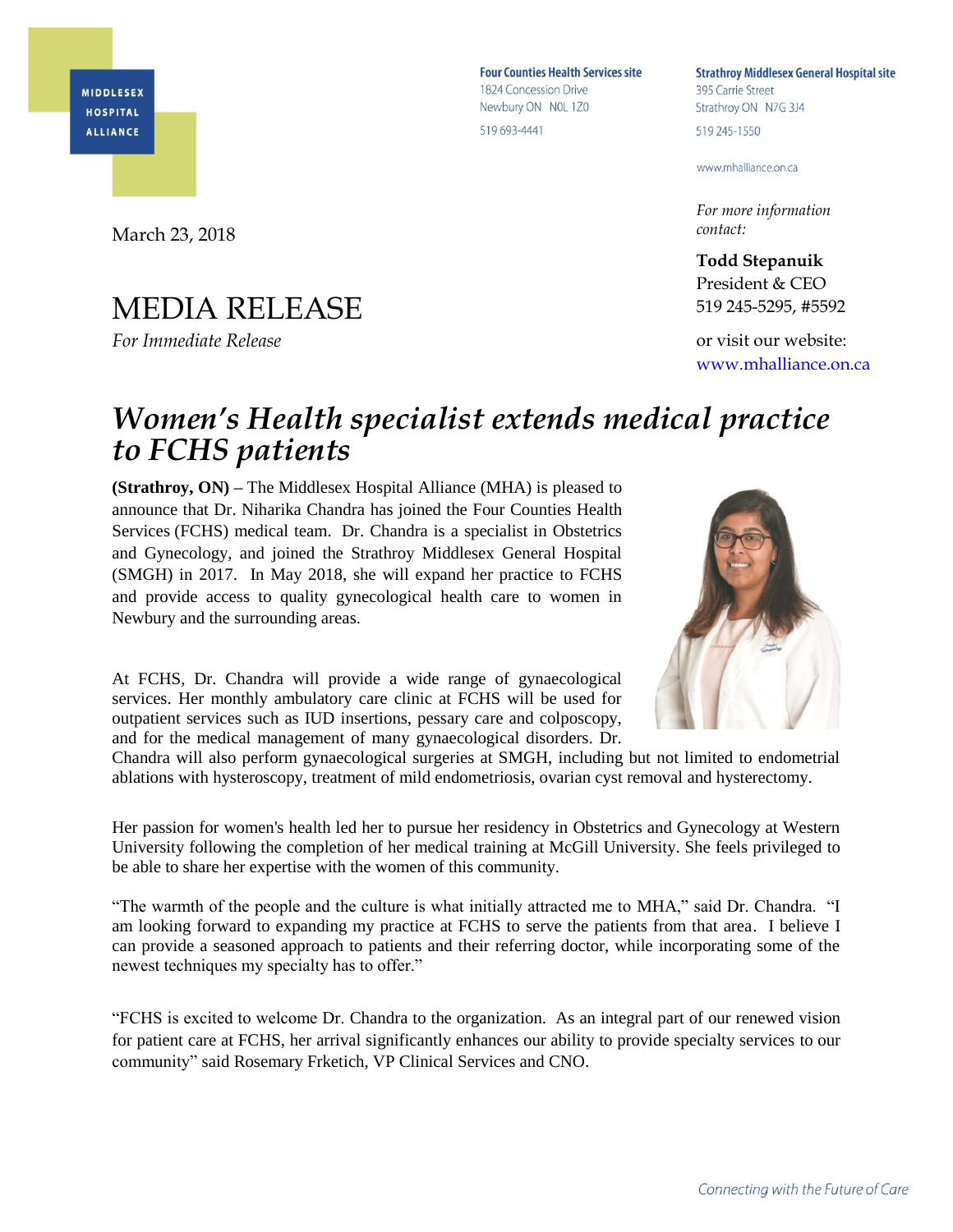**MIDDLESEX HOSPITAL ALLIANCE** 

March 23, 2018

## MEDIA RELEASE

*For Immediate Release*

**Four Counties Health Services site** 1824 Concession Drive Newbury ON NOL 1Z0 519 693-4441

**Strathroy Middlesex General Hospital site** 395 Carrie Street Strathroy ON N7G 3J4 519 245-1550

www.mhalliance.on.ca

*For more information contact:*

**Todd Stepanuik** President & CEO 519 245-5295, #5592

or visit our website: [www.mhalliance.on.ca](http://www.mhalliance.on.ca/)

## *Women's Health specialist extends medical practice to FCHS patients*

**(Strathroy, ON) –** The Middlesex Hospital Alliance (MHA) is pleased to announce that Dr. Niharika Chandra has joined the Four Counties Health Services (FCHS) medical team. Dr. Chandra is a specialist in Obstetrics and Gynecology, and joined the Strathroy Middlesex General Hospital (SMGH) in 2017. In May 2018, she will expand her practice to FCHS and provide access to quality gynecological health care to women in Newbury and the surrounding areas.

At FCHS, Dr. Chandra will provide a wide range of gynaecological services. Her monthly ambulatory care clinic at FCHS will be used for outpatient services such as IUD insertions, pessary care and colposcopy, and for the medical management of many gynaecological disorders. Dr.

Chandra will also perform gynaecological surgeries at SMGH, including but not limited to endometrial ablations with hysteroscopy, treatment of mild endometriosis, ovarian cyst removal and hysterectomy.

Her passion for women's health led her to pursue her residency in Obstetrics and Gynecology at Western University following the completion of her medical training at McGill University. She feels privileged to be able to share her expertise with the women of this community.

"The warmth of the people and the culture is what initially attracted me to MHA," said Dr. Chandra. "I am looking forward to expanding my practice at FCHS to serve the patients from that area. I believe I can provide a seasoned approach to patients and their referring doctor, while incorporating some of the newest techniques my specialty has to offer."

"FCHS is excited to welcome Dr. Chandra to the organization. As an integral part of our renewed vision for patient care at FCHS, her arrival significantly enhances our ability to provide specialty services to our community" said Rosemary Frketich, VP Clinical Services and CNO.